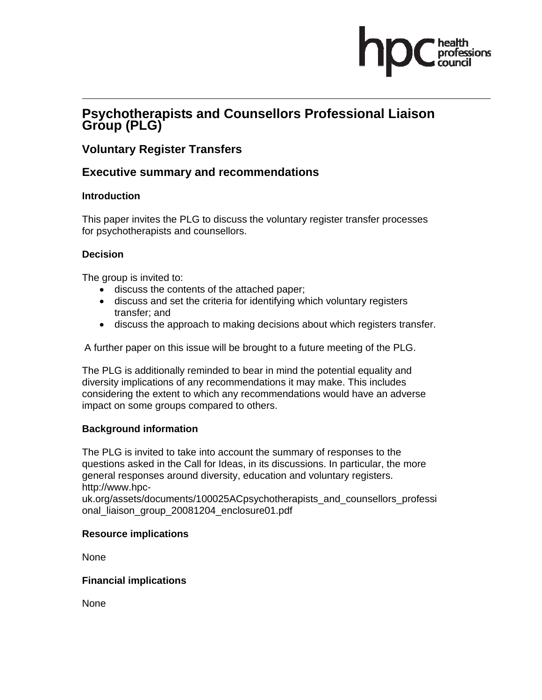# **Psychotherapists and Counsellors Professional Liaison Group (PLG)**

# **Voluntary Register Transfers**

# **Executive summary and recommendations**

#### **Introduction**

This paper invites the PLG to discuss the voluntary register transfer processes for psychotherapists and counsellors.

#### **Decision**

The group is invited to:

- discuss the contents of the attached paper;
- discuss and set the criteria for identifying which voluntary registers transfer; and
- discuss the approach to making decisions about which registers transfer.

A further paper on this issue will be brought to a future meeting of the PLG.

The PLG is additionally reminded to bear in mind the potential equality and diversity implications of any recommendations it may make. This includes considering the extent to which any recommendations would have an adverse impact on some groups compared to others.

#### **Background information**

The PLG is invited to take into account the summary of responses to the questions asked in the Call for Ideas, in its discussions. In particular, the more general responses around diversity, education and voluntary registers. http://www.hpc-

uk.org/assets/documents/100025ACpsychotherapists\_and\_counsellors\_professi onal\_liaison\_group\_20081204\_enclosure01.pdf

#### **Resource implications**

None

**Financial implications** 

None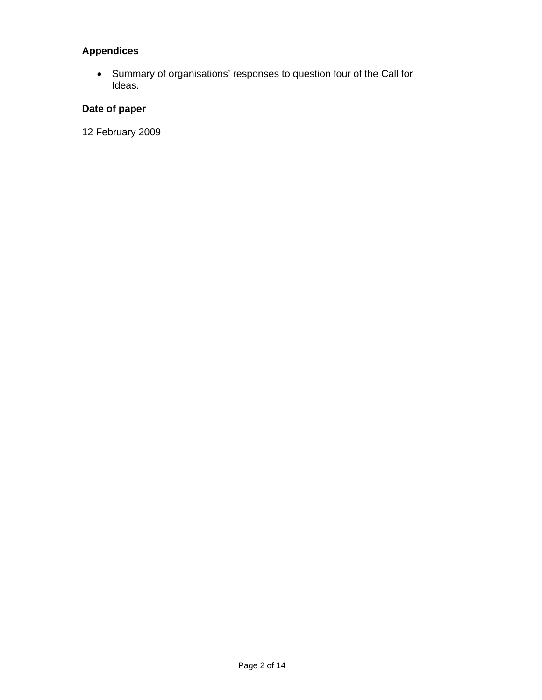# **Appendices**

• Summary of organisations' responses to question four of the Call for Ideas.

# **Date of paper**

12 February 2009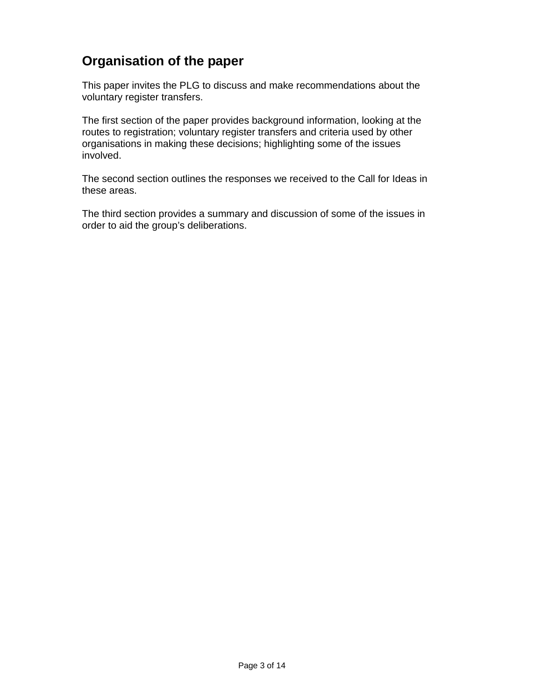# **Organisation of the paper**

This paper invites the PLG to discuss and make recommendations about the voluntary register transfers.

The first section of the paper provides background information, looking at the routes to registration; voluntary register transfers and criteria used by other organisations in making these decisions; highlighting some of the issues involved.

The second section outlines the responses we received to the Call for Ideas in these areas.

The third section provides a summary and discussion of some of the issues in order to aid the group's deliberations.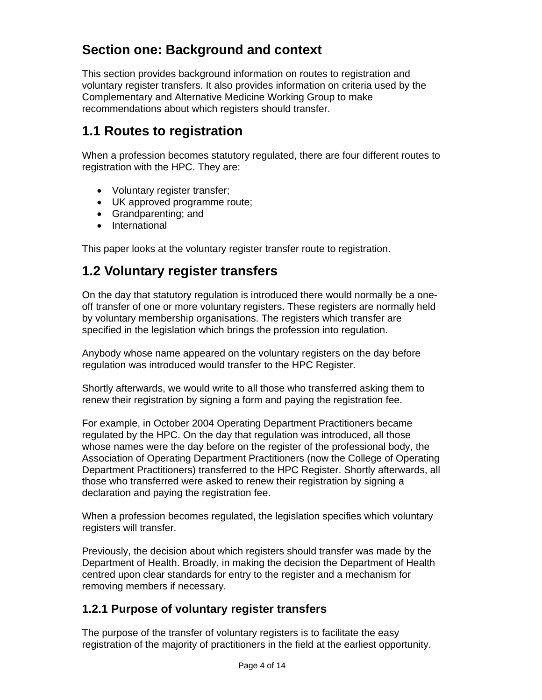# **Section one: Background and context**

This section provides background information on routes to registration and voluntary register transfers. It also provides information on criteria used by the Complementary and Alternative Medicine Working Group to make recommendations about which registers should transfer.

# **1.1 Routes to registration**

When a profession becomes statutory regulated, there are four different routes to registration with the HPC. They are:

- Voluntary register transfer;
- UK approved programme route;
- Grandparenting; and
- International

This paper looks at the voluntary register transfer route to registration.

# **1.2 Voluntary register transfers**

On the day that statutory regulation is introduced there would normally be a oneoff transfer of one or more voluntary registers. These registers are normally held by voluntary membership organisations. The registers which transfer are specified in the legislation which brings the profession into regulation.

Anybody whose name appeared on the voluntary registers on the day before regulation was introduced would transfer to the HPC Register.

Shortly afterwards, we would write to all those who transferred asking them to renew their registration by signing a form and paying the registration fee.

For example, in October 2004 Operating Department Practitioners became regulated by the HPC. On the day that regulation was introduced, all those whose names were the day before on the register of the professional body, the Association of Operating Department Practitioners (now the College of Operating Department Practitioners) transferred to the HPC Register. Shortly afterwards, all those who transferred were asked to renew their registration by signing a declaration and paying the registration fee.

When a profession becomes regulated, the legislation specifies which voluntary registers will transfer.

Previously, the decision about which registers should transfer was made by the Department of Health. Broadly, in making the decision the Department of Health centred upon clear standards for entry to the register and a mechanism for removing members if necessary.

# **1.2.1 Purpose of voluntary register transfers**

The purpose of the transfer of voluntary registers is to facilitate the easy registration of the majority of practitioners in the field at the earliest opportunity.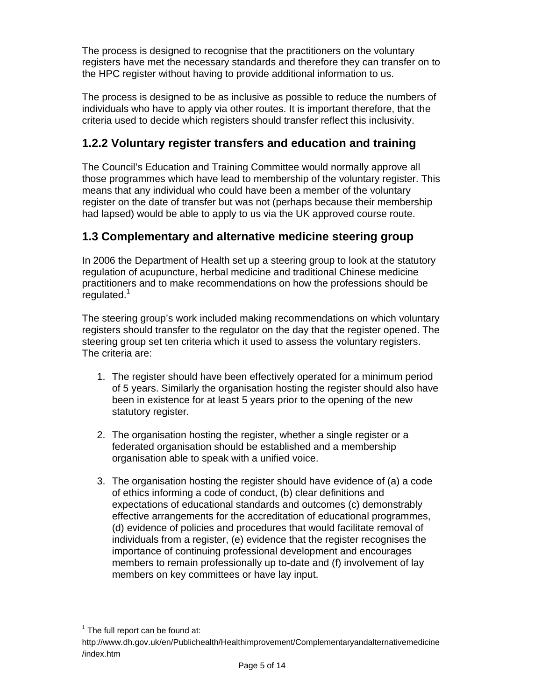The process is designed to recognise that the practitioners on the voluntary registers have met the necessary standards and therefore they can transfer on to the HPC register without having to provide additional information to us.

The process is designed to be as inclusive as possible to reduce the numbers of individuals who have to apply via other routes. It is important therefore, that the criteria used to decide which registers should transfer reflect this inclusivity.

# **1.2.2 Voluntary register transfers and education and training**

The Council's Education and Training Committee would normally approve all those programmes which have lead to membership of the voluntary register. This means that any individual who could have been a member of the voluntary register on the date of transfer but was not (perhaps because their membership had lapsed) would be able to apply to us via the UK approved course route.

# **1.3 Complementary and alternative medicine steering group**

In 2006 the Department of Health set up a steering group to look at the statutory regulation of acupuncture, herbal medicine and traditional Chinese medicine practitioners and to make recommendations on how the professions should be regulated.<sup>1</sup>

The steering group's work included making recommendations on which voluntary registers should transfer to the regulator on the day that the register opened. The steering group set ten criteria which it used to assess the voluntary registers. The criteria are:

- 1. The register should have been effectively operated for a minimum period of 5 years. Similarly the organisation hosting the register should also have been in existence for at least 5 years prior to the opening of the new statutory register.
- 2. The organisation hosting the register, whether a single register or a federated organisation should be established and a membership organisation able to speak with a unified voice.
- 3. The organisation hosting the register should have evidence of (a) a code of ethics informing a code of conduct, (b) clear definitions and expectations of educational standards and outcomes (c) demonstrably effective arrangements for the accreditation of educational programmes, (d) evidence of policies and procedures that would facilitate removal of individuals from a register, (e) evidence that the register recognises the importance of continuing professional development and encourages members to remain professionally up to-date and (f) involvement of lay members on key committees or have lay input.

 $\overline{a}$ 

 $1$  The full report can be found at:

http://www.dh.gov.uk/en/Publichealth/Healthimprovement/Complementaryandalternativemedicine /index.htm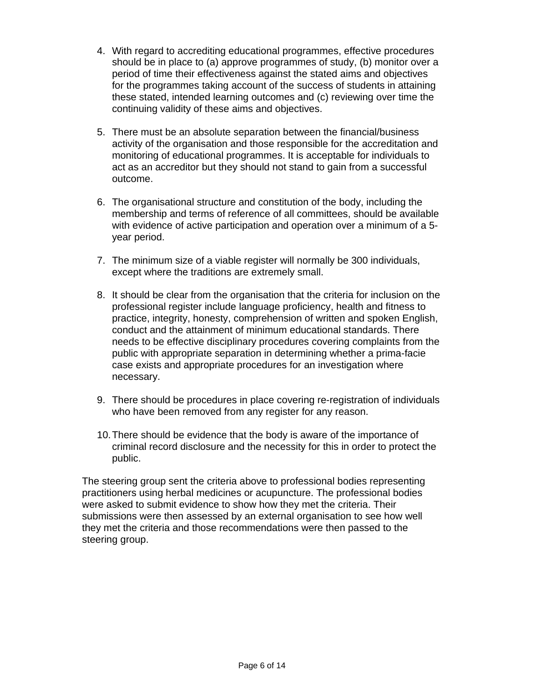- 4. With regard to accrediting educational programmes, effective procedures should be in place to (a) approve programmes of study, (b) monitor over a period of time their effectiveness against the stated aims and objectives for the programmes taking account of the success of students in attaining these stated, intended learning outcomes and (c) reviewing over time the continuing validity of these aims and objectives.
- 5. There must be an absolute separation between the financial/business activity of the organisation and those responsible for the accreditation and monitoring of educational programmes. It is acceptable for individuals to act as an accreditor but they should not stand to gain from a successful outcome.
- 6. The organisational structure and constitution of the body, including the membership and terms of reference of all committees, should be available with evidence of active participation and operation over a minimum of a 5 year period.
- 7. The minimum size of a viable register will normally be 300 individuals, except where the traditions are extremely small.
- 8. It should be clear from the organisation that the criteria for inclusion on the professional register include language proficiency, health and fitness to practice, integrity, honesty, comprehension of written and spoken English, conduct and the attainment of minimum educational standards. There needs to be effective disciplinary procedures covering complaints from the public with appropriate separation in determining whether a prima-facie case exists and appropriate procedures for an investigation where necessary.
- 9. There should be procedures in place covering re-registration of individuals who have been removed from any register for any reason.
- 10. There should be evidence that the body is aware of the importance of criminal record disclosure and the necessity for this in order to protect the public.

The steering group sent the criteria above to professional bodies representing practitioners using herbal medicines or acupuncture. The professional bodies were asked to submit evidence to show how they met the criteria. Their submissions were then assessed by an external organisation to see how well they met the criteria and those recommendations were then passed to the steering group.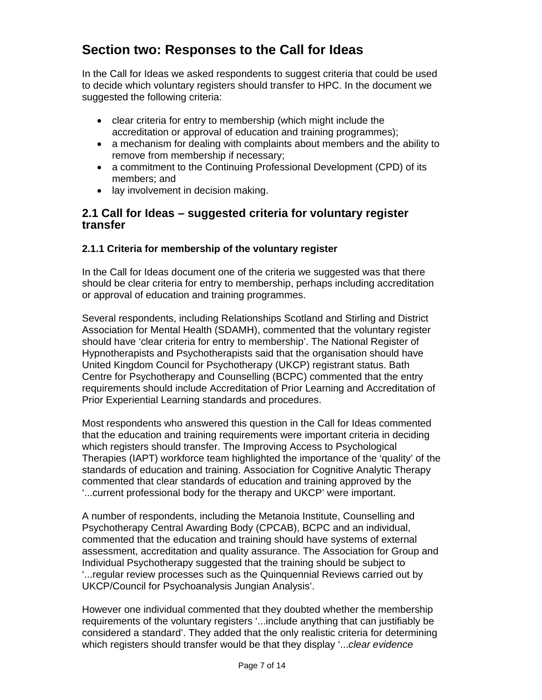# **Section two: Responses to the Call for Ideas**

In the Call for Ideas we asked respondents to suggest criteria that could be used to decide which voluntary registers should transfer to HPC. In the document we suggested the following criteria:

- clear criteria for entry to membership (which might include the accreditation or approval of education and training programmes);
- a mechanism for dealing with complaints about members and the ability to remove from membership if necessary;
- a commitment to the Continuing Professional Development (CPD) of its members; and
- lay involvement in decision making.

#### **2.1 Call for Ideas – suggested criteria for voluntary register transfer**

#### **2.1.1 Criteria for membership of the voluntary register**

In the Call for Ideas document one of the criteria we suggested was that there should be clear criteria for entry to membership, perhaps including accreditation or approval of education and training programmes.

Several respondents, including Relationships Scotland and Stirling and District Association for Mental Health (SDAMH), commented that the voluntary register should have 'clear criteria for entry to membership'. The National Register of Hypnotherapists and Psychotherapists said that the organisation should have United Kingdom Council for Psychotherapy (UKCP) registrant status. Bath Centre for Psychotherapy and Counselling (BCPC) commented that the entry requirements should include Accreditation of Prior Learning and Accreditation of Prior Experiential Learning standards and procedures.

Most respondents who answered this question in the Call for Ideas commented that the education and training requirements were important criteria in deciding which registers should transfer. The Improving Access to Psychological Therapies (IAPT) workforce team highlighted the importance of the 'quality' of the standards of education and training. Association for Cognitive Analytic Therapy commented that clear standards of education and training approved by the '...current professional body for the therapy and UKCP' were important.

A number of respondents, including the Metanoia Institute, Counselling and Psychotherapy Central Awarding Body (CPCAB), BCPC and an individual, commented that the education and training should have systems of external assessment, accreditation and quality assurance. The Association for Group and Individual Psychotherapy suggested that the training should be subject to '...regular review processes such as the Quinquennial Reviews carried out by UKCP/Council for Psychoanalysis Jungian Analysis'.

However one individual commented that they doubted whether the membership requirements of the voluntary registers '...include anything that can justifiably be considered a standard'. They added that the only realistic criteria for determining which registers should transfer would be that they display '...*clear evidence*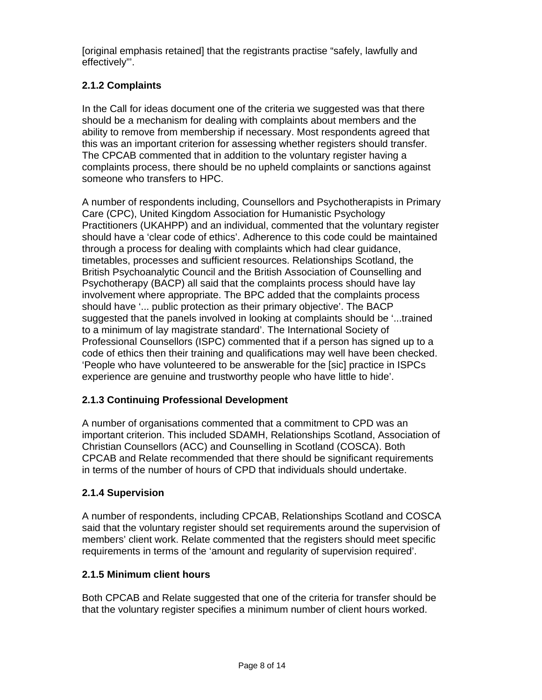[original emphasis retained] that the registrants practise "safely, lawfully and effectively"'.

# **2.1.2 Complaints**

In the Call for ideas document one of the criteria we suggested was that there should be a mechanism for dealing with complaints about members and the ability to remove from membership if necessary. Most respondents agreed that this was an important criterion for assessing whether registers should transfer. The CPCAB commented that in addition to the voluntary register having a complaints process, there should be no upheld complaints or sanctions against someone who transfers to HPC.

A number of respondents including, Counsellors and Psychotherapists in Primary Care (CPC), United Kingdom Association for Humanistic Psychology Practitioners (UKAHPP) and an individual, commented that the voluntary register should have a 'clear code of ethics'. Adherence to this code could be maintained through a process for dealing with complaints which had clear guidance, timetables, processes and sufficient resources. Relationships Scotland, the British Psychoanalytic Council and the British Association of Counselling and Psychotherapy (BACP) all said that the complaints process should have lay involvement where appropriate. The BPC added that the complaints process should have '... public protection as their primary objective'. The BACP suggested that the panels involved in looking at complaints should be '...trained to a minimum of lay magistrate standard'. The International Society of Professional Counsellors (ISPC) commented that if a person has signed up to a code of ethics then their training and qualifications may well have been checked. 'People who have volunteered to be answerable for the [sic] practice in ISPCs experience are genuine and trustworthy people who have little to hide'.

# **2.1.3 Continuing Professional Development**

A number of organisations commented that a commitment to CPD was an important criterion. This included SDAMH, Relationships Scotland, Association of Christian Counsellors (ACC) and Counselling in Scotland (COSCA). Both CPCAB and Relate recommended that there should be significant requirements in terms of the number of hours of CPD that individuals should undertake.

# **2.1.4 Supervision**

A number of respondents, including CPCAB, Relationships Scotland and COSCA said that the voluntary register should set requirements around the supervision of members' client work. Relate commented that the registers should meet specific requirements in terms of the 'amount and regularity of supervision required'.

# **2.1.5 Minimum client hours**

Both CPCAB and Relate suggested that one of the criteria for transfer should be that the voluntary register specifies a minimum number of client hours worked.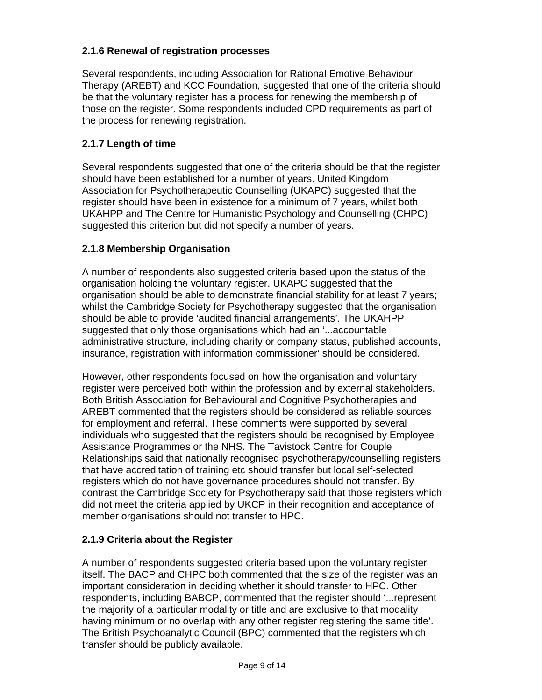### **2.1.6 Renewal of registration processes**

Several respondents, including Association for Rational Emotive Behaviour Therapy (AREBT) and KCC Foundation, suggested that one of the criteria should be that the voluntary register has a process for renewing the membership of those on the register. Some respondents included CPD requirements as part of the process for renewing registration.

### **2.1.7 Length of time**

Several respondents suggested that one of the criteria should be that the register should have been established for a number of years. United Kingdom Association for Psychotherapeutic Counselling (UKAPC) suggested that the register should have been in existence for a minimum of 7 years, whilst both UKAHPP and The Centre for Humanistic Psychology and Counselling (CHPC) suggested this criterion but did not specify a number of years.

#### **2.1.8 Membership Organisation**

A number of respondents also suggested criteria based upon the status of the organisation holding the voluntary register. UKAPC suggested that the organisation should be able to demonstrate financial stability for at least 7 years; whilst the Cambridge Society for Psychotherapy suggested that the organisation should be able to provide 'audited financial arrangements'. The UKAHPP suggested that only those organisations which had an '...accountable administrative structure, including charity or company status, published accounts, insurance, registration with information commissioner' should be considered.

However, other respondents focused on how the organisation and voluntary register were perceived both within the profession and by external stakeholders. Both British Association for Behavioural and Cognitive Psychotherapies and AREBT commented that the registers should be considered as reliable sources for employment and referral. These comments were supported by several individuals who suggested that the registers should be recognised by Employee Assistance Programmes or the NHS. The Tavistock Centre for Couple Relationships said that nationally recognised psychotherapy/counselling registers that have accreditation of training etc should transfer but local self-selected registers which do not have governance procedures should not transfer. By contrast the Cambridge Society for Psychotherapy said that those registers which did not meet the criteria applied by UKCP in their recognition and acceptance of member organisations should not transfer to HPC.

#### **2.1.9 Criteria about the Register**

A number of respondents suggested criteria based upon the voluntary register itself. The BACP and CHPC both commented that the size of the register was an important consideration in deciding whether it should transfer to HPC. Other respondents, including BABCP, commented that the register should '...represent the majority of a particular modality or title and are exclusive to that modality having minimum or no overlap with any other register registering the same title'. The British Psychoanalytic Council (BPC) commented that the registers which transfer should be publicly available.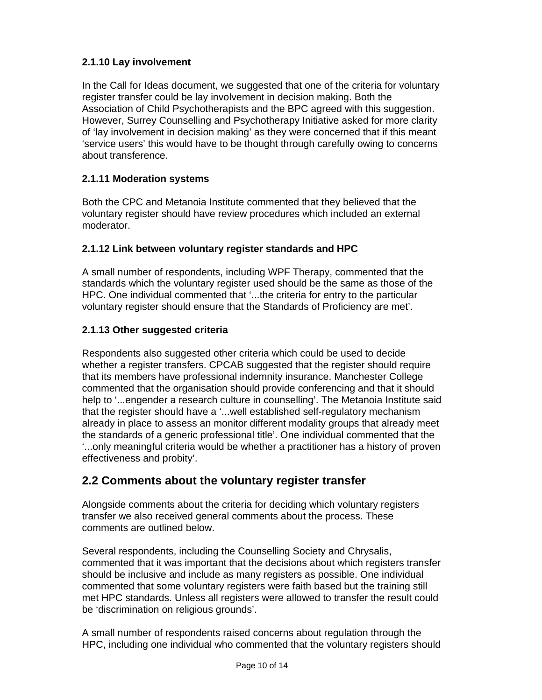## **2.1.10 Lay involvement**

In the Call for Ideas document, we suggested that one of the criteria for voluntary register transfer could be lay involvement in decision making. Both the Association of Child Psychotherapists and the BPC agreed with this suggestion. However, Surrey Counselling and Psychotherapy Initiative asked for more clarity of 'lay involvement in decision making' as they were concerned that if this meant 'service users' this would have to be thought through carefully owing to concerns about transference.

### **2.1.11 Moderation systems**

Both the CPC and Metanoia Institute commented that they believed that the voluntary register should have review procedures which included an external moderator.

#### **2.1.12 Link between voluntary register standards and HPC**

A small number of respondents, including WPF Therapy, commented that the standards which the voluntary register used should be the same as those of the HPC. One individual commented that '...the criteria for entry to the particular voluntary register should ensure that the Standards of Proficiency are met'.

#### **2.1.13 Other suggested criteria**

Respondents also suggested other criteria which could be used to decide whether a register transfers. CPCAB suggested that the register should require that its members have professional indemnity insurance. Manchester College commented that the organisation should provide conferencing and that it should help to '...engender a research culture in counselling'. The Metanoia Institute said that the register should have a '...well established self-regulatory mechanism already in place to assess an monitor different modality groups that already meet the standards of a generic professional title'. One individual commented that the '...only meaningful criteria would be whether a practitioner has a history of proven effectiveness and probity'.

# **2.2 Comments about the voluntary register transfer**

Alongside comments about the criteria for deciding which voluntary registers transfer we also received general comments about the process. These comments are outlined below.

Several respondents, including the Counselling Society and Chrysalis, commented that it was important that the decisions about which registers transfer should be inclusive and include as many registers as possible. One individual commented that some voluntary registers were faith based but the training still met HPC standards. Unless all registers were allowed to transfer the result could be 'discrimination on religious grounds'.

A small number of respondents raised concerns about regulation through the HPC, including one individual who commented that the voluntary registers should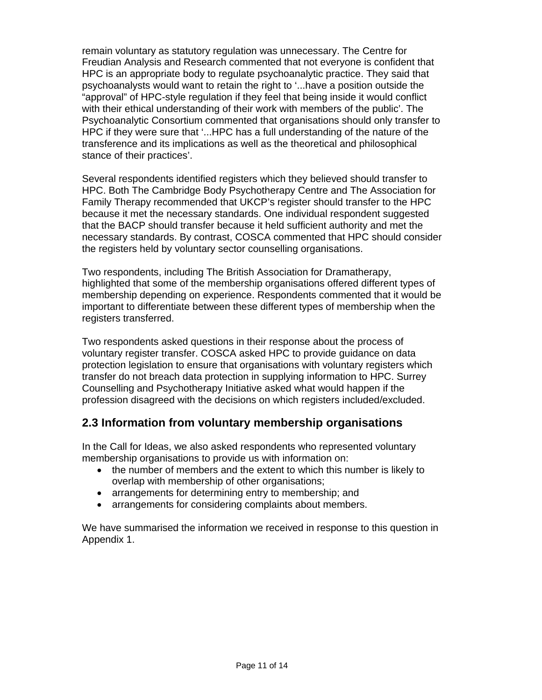remain voluntary as statutory regulation was unnecessary. The Centre for Freudian Analysis and Research commented that not everyone is confident that HPC is an appropriate body to regulate psychoanalytic practice. They said that psychoanalysts would want to retain the right to '...have a position outside the "approval" of HPC-style regulation if they feel that being inside it would conflict with their ethical understanding of their work with members of the public'. The Psychoanalytic Consortium commented that organisations should only transfer to HPC if they were sure that '...HPC has a full understanding of the nature of the transference and its implications as well as the theoretical and philosophical stance of their practices'.

Several respondents identified registers which they believed should transfer to HPC. Both The Cambridge Body Psychotherapy Centre and The Association for Family Therapy recommended that UKCP's register should transfer to the HPC because it met the necessary standards. One individual respondent suggested that the BACP should transfer because it held sufficient authority and met the necessary standards. By contrast, COSCA commented that HPC should consider the registers held by voluntary sector counselling organisations.

Two respondents, including The British Association for Dramatherapy, highlighted that some of the membership organisations offered different types of membership depending on experience. Respondents commented that it would be important to differentiate between these different types of membership when the registers transferred.

Two respondents asked questions in their response about the process of voluntary register transfer. COSCA asked HPC to provide guidance on data protection legislation to ensure that organisations with voluntary registers which transfer do not breach data protection in supplying information to HPC. Surrey Counselling and Psychotherapy Initiative asked what would happen if the profession disagreed with the decisions on which registers included/excluded.

# **2.3 Information from voluntary membership organisations**

In the Call for Ideas, we also asked respondents who represented voluntary membership organisations to provide us with information on:

- the number of members and the extent to which this number is likely to overlap with membership of other organisations;
- arrangements for determining entry to membership; and
- arrangements for considering complaints about members.

We have summarised the information we received in response to this question in Appendix 1.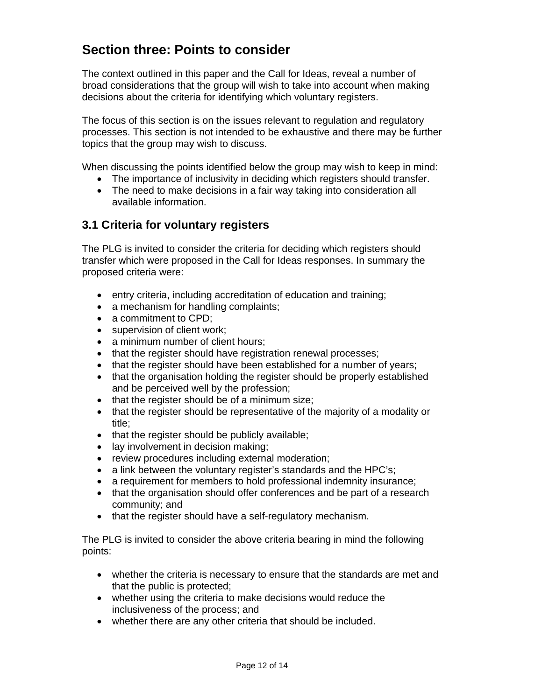# **Section three: Points to consider**

The context outlined in this paper and the Call for Ideas, reveal a number of broad considerations that the group will wish to take into account when making decisions about the criteria for identifying which voluntary registers.

The focus of this section is on the issues relevant to regulation and regulatory processes. This section is not intended to be exhaustive and there may be further topics that the group may wish to discuss.

When discussing the points identified below the group may wish to keep in mind:

- The importance of inclusivity in deciding which registers should transfer.
- The need to make decisions in a fair way taking into consideration all available information.

# **3.1 Criteria for voluntary registers**

The PLG is invited to consider the criteria for deciding which registers should transfer which were proposed in the Call for Ideas responses. In summary the proposed criteria were:

- entry criteria, including accreditation of education and training;
- a mechanism for handling complaints;
- a commitment to CPD;
- supervision of client work;
- a minimum number of client hours;
- that the register should have registration renewal processes;
- that the register should have been established for a number of years;
- that the organisation holding the register should be properly established and be perceived well by the profession;
- that the register should be of a minimum size;
- that the register should be representative of the majority of a modality or title;
- that the register should be publicly available;
- lay involvement in decision making;
- review procedures including external moderation;
- a link between the voluntary register's standards and the HPC's;
- a requirement for members to hold professional indemnity insurance;
- that the organisation should offer conferences and be part of a research community; and
- that the register should have a self-regulatory mechanism.

The PLG is invited to consider the above criteria bearing in mind the following points:

- whether the criteria is necessary to ensure that the standards are met and that the public is protected;
- whether using the criteria to make decisions would reduce the inclusiveness of the process; and
- whether there are any other criteria that should be included.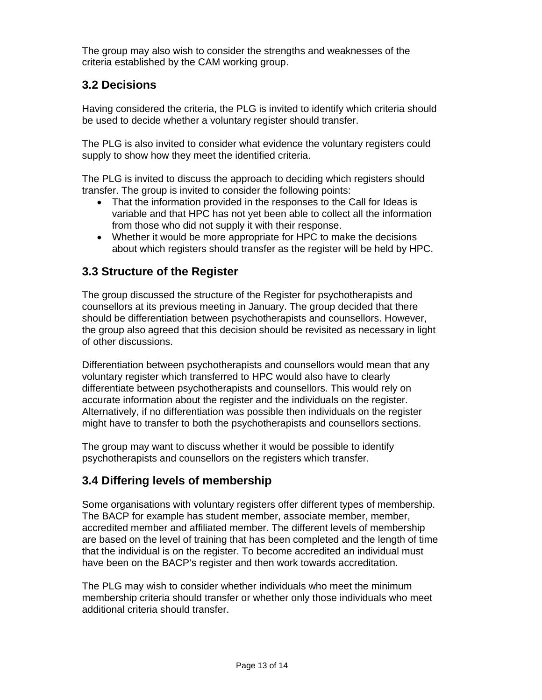The group may also wish to consider the strengths and weaknesses of the criteria established by the CAM working group.

# **3.2 Decisions**

Having considered the criteria, the PLG is invited to identify which criteria should be used to decide whether a voluntary register should transfer.

The PLG is also invited to consider what evidence the voluntary registers could supply to show how they meet the identified criteria.

The PLG is invited to discuss the approach to deciding which registers should transfer. The group is invited to consider the following points:

- That the information provided in the responses to the Call for Ideas is variable and that HPC has not yet been able to collect all the information from those who did not supply it with their response.
- Whether it would be more appropriate for HPC to make the decisions about which registers should transfer as the register will be held by HPC.

# **3.3 Structure of the Register**

The group discussed the structure of the Register for psychotherapists and counsellors at its previous meeting in January. The group decided that there should be differentiation between psychotherapists and counsellors. However, the group also agreed that this decision should be revisited as necessary in light of other discussions.

Differentiation between psychotherapists and counsellors would mean that any voluntary register which transferred to HPC would also have to clearly differentiate between psychotherapists and counsellors. This would rely on accurate information about the register and the individuals on the register. Alternatively, if no differentiation was possible then individuals on the register might have to transfer to both the psychotherapists and counsellors sections.

The group may want to discuss whether it would be possible to identify psychotherapists and counsellors on the registers which transfer.

# **3.4 Differing levels of membership**

Some organisations with voluntary registers offer different types of membership. The BACP for example has student member, associate member, member, accredited member and affiliated member. The different levels of membership are based on the level of training that has been completed and the length of time that the individual is on the register. To become accredited an individual must have been on the BACP's register and then work towards accreditation.

The PLG may wish to consider whether individuals who meet the minimum membership criteria should transfer or whether only those individuals who meet additional criteria should transfer.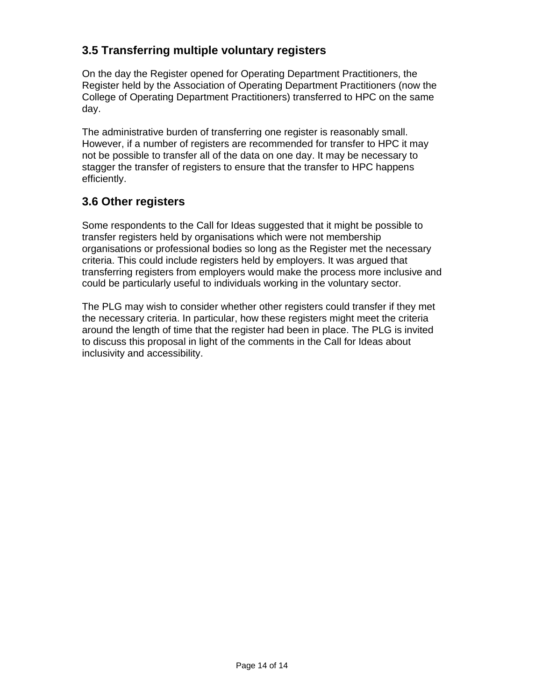# **3.5 Transferring multiple voluntary registers**

On the day the Register opened for Operating Department Practitioners, the Register held by the Association of Operating Department Practitioners (now the College of Operating Department Practitioners) transferred to HPC on the same day.

The administrative burden of transferring one register is reasonably small. However, if a number of registers are recommended for transfer to HPC it may not be possible to transfer all of the data on one day. It may be necessary to stagger the transfer of registers to ensure that the transfer to HPC happens efficiently.

# **3.6 Other registers**

Some respondents to the Call for Ideas suggested that it might be possible to transfer registers held by organisations which were not membership organisations or professional bodies so long as the Register met the necessary criteria. This could include registers held by employers. It was argued that transferring registers from employers would make the process more inclusive and could be particularly useful to individuals working in the voluntary sector.

The PLG may wish to consider whether other registers could transfer if they met the necessary criteria. In particular, how these registers might meet the criteria around the length of time that the register had been in place. The PLG is invited to discuss this proposal in light of the comments in the Call for Ideas about inclusivity and accessibility.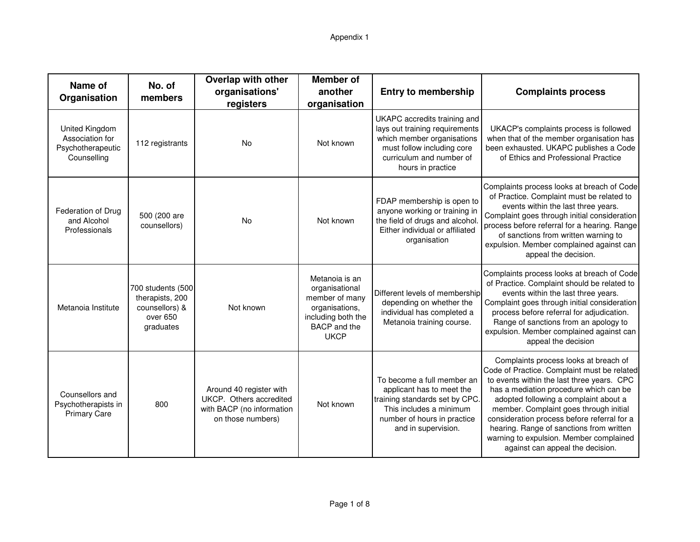| Name of<br>Organisation                                               | No. of<br>members                                                               | <b>Overlap with other</b><br>organisations'<br>registers                                             | <b>Member of</b><br>another<br>organisation                                                                               | <b>Entry to membership</b>                                                                                                                                                  | <b>Complaints process</b>                                                                                                                                                                                                                                                                                                                                                                                                                 |
|-----------------------------------------------------------------------|---------------------------------------------------------------------------------|------------------------------------------------------------------------------------------------------|---------------------------------------------------------------------------------------------------------------------------|-----------------------------------------------------------------------------------------------------------------------------------------------------------------------------|-------------------------------------------------------------------------------------------------------------------------------------------------------------------------------------------------------------------------------------------------------------------------------------------------------------------------------------------------------------------------------------------------------------------------------------------|
| United Kingdom<br>Association for<br>Psychotherapeutic<br>Counselling | 112 registrants                                                                 | <b>No</b>                                                                                            | Not known                                                                                                                 | UKAPC accredits training and<br>lays out training requirements<br>which member organisations<br>must follow including core<br>curriculum and number of<br>hours in practice | UKACP's complaints process is followed<br>when that of the member organisation has<br>been exhausted. UKAPC publishes a Code<br>of Ethics and Professional Practice                                                                                                                                                                                                                                                                       |
| Federation of Drug<br>and Alcohol<br>Professionals                    | 500 (200 are<br>counsellors)                                                    | <b>No</b>                                                                                            | Not known                                                                                                                 | FDAP membership is open to<br>anyone working or training in<br>the field of drugs and alcohol<br>Either individual or affiliated<br>organisation                            | Complaints process looks at breach of Code<br>of Practice. Complaint must be related to<br>events within the last three years.<br>Complaint goes through initial consideration<br>process before referral for a hearing. Range<br>of sanctions from written warning to<br>expulsion. Member complained against can<br>appeal the decision.                                                                                                |
| Metanoia Institute                                                    | 700 students (500<br>therapists, 200<br>counsellors) &<br>over 650<br>graduates | Not known                                                                                            | Metanoia is an<br>organisational<br>member of many<br>organisations,<br>including both the<br>BACP and the<br><b>UKCP</b> | Different levels of membership<br>depending on whether the<br>individual has completed a<br>Metanoia training course.                                                       | Complaints process looks at breach of Code<br>of Practice. Complaint should be related to<br>events within the last three years.<br>Complaint goes through initial consideration<br>process before referral for adjudication.<br>Range of sanctions from an apology to<br>expulsion. Member complained against can<br>appeal the decision                                                                                                 |
| Counsellors and<br>Psychotherapists in<br><b>Primary Care</b>         | 800                                                                             | Around 40 register with<br>UKCP. Others accredited<br>with BACP (no information<br>on those numbers) | Not known                                                                                                                 | To become a full member an<br>applicant has to meet the<br>training standards set by CPC.<br>This includes a minimum<br>number of hours in practice<br>and in supervision.  | Complaints process looks at breach of<br>Code of Practice. Complaint must be related<br>to events within the last three years. CPC<br>has a mediation procedure which can be<br>adopted following a complaint about a<br>member. Complaint goes through initial<br>consideration process before referral for a<br>hearing. Range of sanctions from written<br>warning to expulsion. Member complained<br>against can appeal the decision. |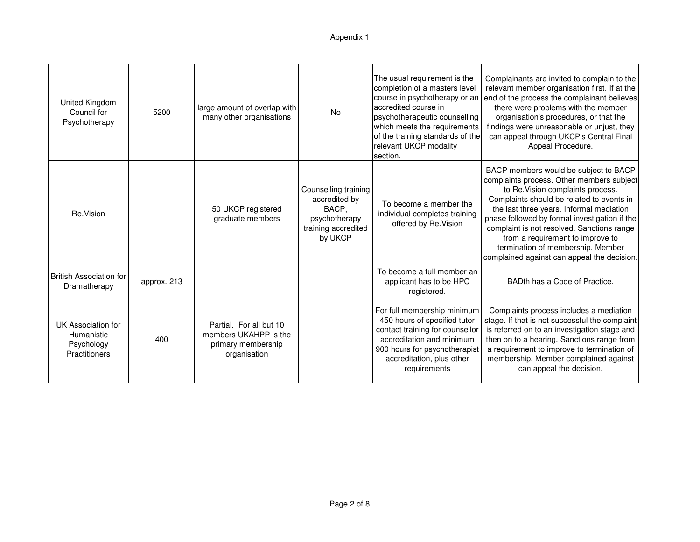| United Kingdom<br>Council for<br>Psychotherapy                         | 5200        | large amount of overlap with<br>many other organisations                               | No                                                                                                | The usual requirement is the<br>completion of a masters level<br>course in psychotherapy or an<br>accredited course in<br>psychotherapeutic counselling<br>which meets the requirements<br>of the training standards of the<br>relevant UKCP modality<br>section. | Complainants are invited to complain to the<br>relevant member organisation first. If at the<br>end of the process the complainant believes<br>there were problems with the member<br>organisation's procedures, or that the<br>findings were unreasonable or unjust, they<br>can appeal through UKCP's Central Final<br>Appeal Procedure.                                                                                              |
|------------------------------------------------------------------------|-------------|----------------------------------------------------------------------------------------|---------------------------------------------------------------------------------------------------|-------------------------------------------------------------------------------------------------------------------------------------------------------------------------------------------------------------------------------------------------------------------|-----------------------------------------------------------------------------------------------------------------------------------------------------------------------------------------------------------------------------------------------------------------------------------------------------------------------------------------------------------------------------------------------------------------------------------------|
| Re.Vision                                                              |             | 50 UKCP registered<br>graduate members                                                 | Counselling training<br>accredited by<br>BACP,<br>psychotherapy<br>training accredited<br>by UKCP | To become a member the<br>individual completes training<br>offered by Re. Vision                                                                                                                                                                                  | BACP members would be subject to BACP<br>complaints process. Other members subject<br>to Re. Vision complaints process.<br>Complaints should be related to events in<br>the last three years. Informal mediation<br>phase followed by formal investigation if the<br>complaint is not resolved. Sanctions range<br>from a requirement to improve to<br>termination of membership. Member<br>complained against can appeal the decision. |
| <b>British Association for</b><br>Dramatherapy                         | approx. 213 |                                                                                        |                                                                                                   | To become a full member an<br>applicant has to be HPC<br>registered.                                                                                                                                                                                              | BADth has a Code of Practice.                                                                                                                                                                                                                                                                                                                                                                                                           |
| UK Association for<br>Humanistic<br>Psychology<br><b>Practitioners</b> | 400         | Partial. For all but 10<br>members UKAHPP is the<br>primary membership<br>organisation |                                                                                                   | For full membership minimum<br>450 hours of specified tutor<br>contact training for counsellor<br>accreditation and minimum<br>900 hours for psychotherapist<br>accreditation, plus other<br>requirements                                                         | Complaints process includes a mediation<br>stage. If that is not successful the complaint<br>is referred on to an investigation stage and<br>then on to a hearing. Sanctions range from<br>a requirement to improve to termination of<br>membership. Member complained against<br>can appeal the decision.                                                                                                                              |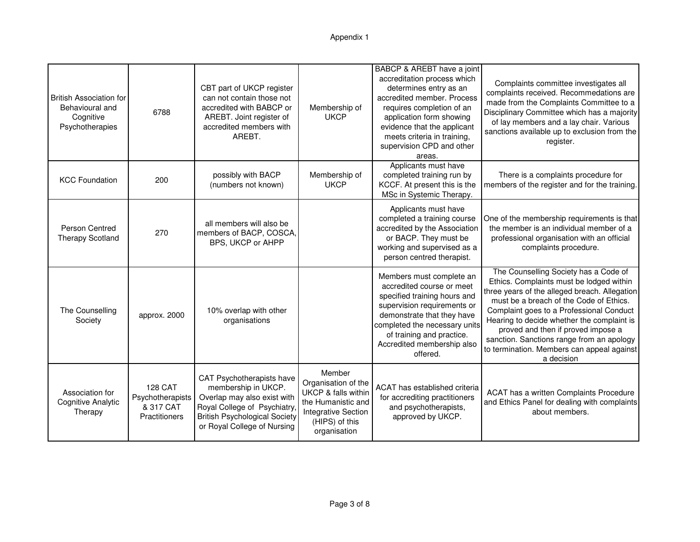#### Appendix 1

| <b>British Association for</b><br>Behavioural and<br>Cognitive<br>Psychotherapies | 6788                                                             | CBT part of UKCP register<br>can not contain those not<br>accredited with BABCP or<br>AREBT. Joint register of<br>accredited members with<br>AREBT.                                   | Membership of<br><b>UKCP</b>                                                                                                                          | BABCP & AREBT have a joint<br>accreditation process which<br>determines entry as an<br>accredited member. Process<br>requires completion of an<br>application form showing<br>evidence that the applicant<br>meets criteria in training,<br>supervision CPD and other<br>areas. | Complaints committee investigates all<br>complaints received. Recommedations are<br>made from the Complaints Committee to a<br>Disciplinary Committee which has a majority<br>of lay members and a lay chair. Various<br>sanctions available up to exclusion from the<br>register.                                                                                                                                     |
|-----------------------------------------------------------------------------------|------------------------------------------------------------------|---------------------------------------------------------------------------------------------------------------------------------------------------------------------------------------|-------------------------------------------------------------------------------------------------------------------------------------------------------|---------------------------------------------------------------------------------------------------------------------------------------------------------------------------------------------------------------------------------------------------------------------------------|------------------------------------------------------------------------------------------------------------------------------------------------------------------------------------------------------------------------------------------------------------------------------------------------------------------------------------------------------------------------------------------------------------------------|
| <b>KCC Foundation</b>                                                             | 200                                                              | possibly with BACP<br>(numbers not known)                                                                                                                                             | Membership of<br><b>UKCP</b>                                                                                                                          | Applicants must have<br>completed training run by<br>KCCF. At present this is the<br>MSc in Systemic Therapy.                                                                                                                                                                   | There is a complaints procedure for<br>members of the register and for the training.                                                                                                                                                                                                                                                                                                                                   |
| Person Centred<br><b>Therapy Scotland</b>                                         | 270                                                              | all members will also be<br>members of BACP, COSCA,<br>BPS, UKCP or AHPP                                                                                                              |                                                                                                                                                       | Applicants must have<br>completed a training course<br>accredited by the Association<br>or BACP. They must be<br>working and supervised as a<br>person centred therapist.                                                                                                       | One of the membership requirements is that<br>the member is an individual member of a<br>professional organisation with an official<br>complaints procedure.                                                                                                                                                                                                                                                           |
| The Counselling<br>Society                                                        | approx. 2000                                                     | 10% overlap with other<br>organisations                                                                                                                                               |                                                                                                                                                       | Members must complete an<br>accredited course or meet<br>specified training hours and<br>supervision requirements or<br>demonstrate that they have<br>completed the necessary units<br>of training and practice.<br>Accredited membership also<br>offered.                      | The Counselling Society has a Code of<br>Ethics. Complaints must be lodged within<br>three years of the alleged breach. Allegation<br>must be a breach of the Code of Ethics.<br>Complaint goes to a Professional Conduct<br>Hearing to decide whether the complaint is<br>proved and then if proved impose a<br>sanction. Sanctions range from an apology<br>to termination. Members can appeal against<br>a decision |
| Association for<br>Cognitive Analytic<br>Therapy                                  | <b>128 CAT</b><br>Psychotherapists<br>& 317 CAT<br>Practitioners | CAT Psychotherapists have<br>membership in UKCP.<br>Overlap may also exist with<br>Royal College of Psychiatry<br><b>British Psychological Society</b><br>or Royal College of Nursing | Member<br>Organisation of the<br><b>UKCP &amp; falls within</b><br>the Humanistic and<br><b>Integrative Section</b><br>(HIPS) of this<br>organisation | ACAT has established criteria<br>for accrediting practitioners<br>and psychotherapists,<br>approved by UKCP.                                                                                                                                                                    | ACAT has a written Complaints Procedure<br>and Ethics Panel for dealing with complaints<br>about members.                                                                                                                                                                                                                                                                                                              |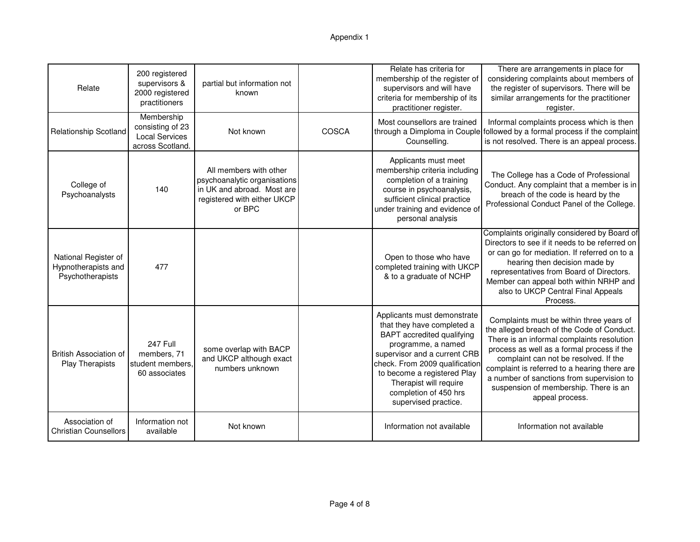| Relate                                                          | 200 registered<br>supervisors &<br>2000 registered<br>practitioners         | partial but information not<br>known                                                                                          |       | Relate has criteria for<br>membership of the register of<br>supervisors and will have<br>criteria for membership of its<br>practitioner register.                                                                                                                                         | There are arrangements in place for<br>considering complaints about members of<br>the register of supervisors. There will be<br>similar arrangements for the practitioner<br>register.                                                                                                                                                                                               |
|-----------------------------------------------------------------|-----------------------------------------------------------------------------|-------------------------------------------------------------------------------------------------------------------------------|-------|-------------------------------------------------------------------------------------------------------------------------------------------------------------------------------------------------------------------------------------------------------------------------------------------|--------------------------------------------------------------------------------------------------------------------------------------------------------------------------------------------------------------------------------------------------------------------------------------------------------------------------------------------------------------------------------------|
| <b>Relationship Scotland</b>                                    | Membership<br>consisting of 23<br><b>Local Services</b><br>across Scotland. | Not known                                                                                                                     | COSCA | Most counsellors are trained<br>Counselling.                                                                                                                                                                                                                                              | Informal complaints process which is then<br>through a Dimploma in Couple followed by a formal process if the complaint<br>is not resolved. There is an appeal process.                                                                                                                                                                                                              |
| College of<br>Psychoanalysts                                    | 140                                                                         | All members with other<br>psychoanalytic organisations<br>in UK and abroad. Most are<br>registered with either UKCP<br>or BPC |       | Applicants must meet<br>membership criteria including<br>completion of a training<br>course in psychoanalysis,<br>sufficient clinical practice<br>under training and evidence of<br>personal analysis                                                                                     | The College has a Code of Professional<br>Conduct. Any complaint that a member is in<br>breach of the code is heard by the<br>Professional Conduct Panel of the College.                                                                                                                                                                                                             |
| National Register of<br>Hypnotherapists and<br>Psychotherapists | 477                                                                         |                                                                                                                               |       | Open to those who have<br>completed training with UKCP<br>& to a graduate of NCHP                                                                                                                                                                                                         | Complaints originally considered by Board of<br>Directors to see if it needs to be referred on<br>or can go for mediation. If referred on to a<br>hearing then decision made by<br>representatives from Board of Directors.<br>Member can appeal both within NRHP and<br>also to UKCP Central Final Appeals<br>Process.                                                              |
| <b>British Association of</b><br>Play Therapists                | 247 Full<br>members, 71<br>student members,<br>60 associates                | some overlap with BACP<br>and UKCP although exact<br>numbers unknown                                                          |       | Applicants must demonstrate<br>that they have completed a<br>BAPT accredited qualifying<br>programme, a named<br>supervisor and a current CRB<br>check. From 2009 qualification<br>to become a registered Play<br>Therapist will require<br>completion of 450 hrs<br>supervised practice. | Complaints must be within three years of<br>the alleged breach of the Code of Conduct.<br>There is an informal complaints resolution<br>process as well as a formal process if the<br>complaint can not be resolved. If the<br>complaint is referred to a hearing there are<br>a number of sanctions from supervision to<br>suspension of membership. There is an<br>appeal process. |
| Association of<br><b>Christian Counsellors</b>                  | Information not<br>available                                                | Not known                                                                                                                     |       | Information not available                                                                                                                                                                                                                                                                 | Information not available                                                                                                                                                                                                                                                                                                                                                            |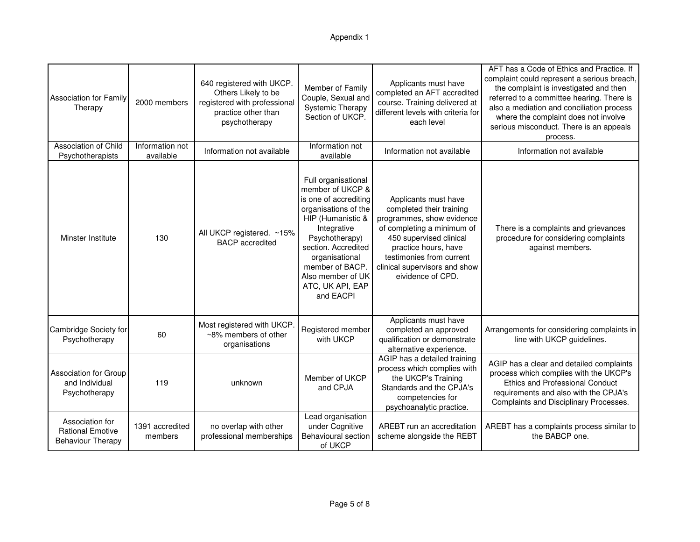#### Appendix 1

| <b>Association for Family</b><br>Therapy                               | 2000 members                 | 640 registered with UKCP.<br>Others Likely to be<br>registered with professional<br>practice other than<br>psychotherapy | Member of Family<br>Couple, Sexual and<br><b>Systemic Therapy</b><br>Section of UKCP.                                                                                                                                                                            | Applicants must have<br>completed an AFT accredited<br>course. Training delivered at<br>different levels with criteria for<br>each level                                                                                                         | AFT has a Code of Ethics and Practice. If<br>complaint could represent a serious breach,<br>the complaint is investigated and then<br>referred to a committee hearing. There is<br>also a mediation and conciliation process<br>where the complaint does not involve<br>serious misconduct. There is an appeals<br>process. |
|------------------------------------------------------------------------|------------------------------|--------------------------------------------------------------------------------------------------------------------------|------------------------------------------------------------------------------------------------------------------------------------------------------------------------------------------------------------------------------------------------------------------|--------------------------------------------------------------------------------------------------------------------------------------------------------------------------------------------------------------------------------------------------|-----------------------------------------------------------------------------------------------------------------------------------------------------------------------------------------------------------------------------------------------------------------------------------------------------------------------------|
| Association of Child<br>Psychotherapists                               | Information not<br>available | Information not available                                                                                                | Information not<br>available                                                                                                                                                                                                                                     | Information not available                                                                                                                                                                                                                        | Information not available                                                                                                                                                                                                                                                                                                   |
| Minster Institute                                                      | 130                          | All UKCP registered. ~15%<br><b>BACP</b> accredited                                                                      | Full organisational<br>member of UKCP &<br>is one of accrediting<br>organisations of the<br>HIP (Humanistic &<br>Integrative<br>Psychotherapy)<br>section. Accredited<br>organisational<br>member of BACP.<br>Also member of UK<br>ATC, UK API, EAP<br>and EACPI | Applicants must have<br>completed their training<br>programmes, show evidence<br>of completing a minimum of<br>450 supervised clinical<br>practice hours, have<br>testimonies from current<br>clinical supervisors and show<br>eividence of CPD. | There is a complaints and grievances<br>procedure for considering complaints<br>against members.                                                                                                                                                                                                                            |
| Cambridge Society for<br>Psychotherapy                                 | 60                           | Most registered with UKCP.<br>~8% members of other<br>organisations                                                      | Registered member<br>with UKCP                                                                                                                                                                                                                                   | Applicants must have<br>completed an approved<br>qualification or demonstrate<br>alternative experience.                                                                                                                                         | Arrangements for considering complaints in<br>line with UKCP guidelines.                                                                                                                                                                                                                                                    |
| <b>Association for Group</b><br>and Individual<br>Psychotherapy        | 119                          | unknown                                                                                                                  | Member of UKCP<br>and CPJA                                                                                                                                                                                                                                       | AGIP has a detailed training<br>process which complies with<br>the UKCP's Training<br>Standards and the CPJA's<br>competencies for<br>psychoanalytic practice.                                                                                   | AGIP has a clear and detailed complaints<br>process which complies with the UKCP's<br>Ethics and Professional Conduct<br>requirements and also with the CPJA's<br>Complaints and Disciplinary Processes.                                                                                                                    |
| Association for<br><b>Rational Emotive</b><br><b>Behaviour Therapy</b> | 1391 accredited<br>members   | no overlap with other<br>professional memberships                                                                        | Lead organisation<br>under Cognitive<br><b>Behavioural section</b><br>of UKCP                                                                                                                                                                                    | AREBT run an accreditation<br>scheme alongside the REBT                                                                                                                                                                                          | AREBT has a complaints process similar to<br>the BABCP one.                                                                                                                                                                                                                                                                 |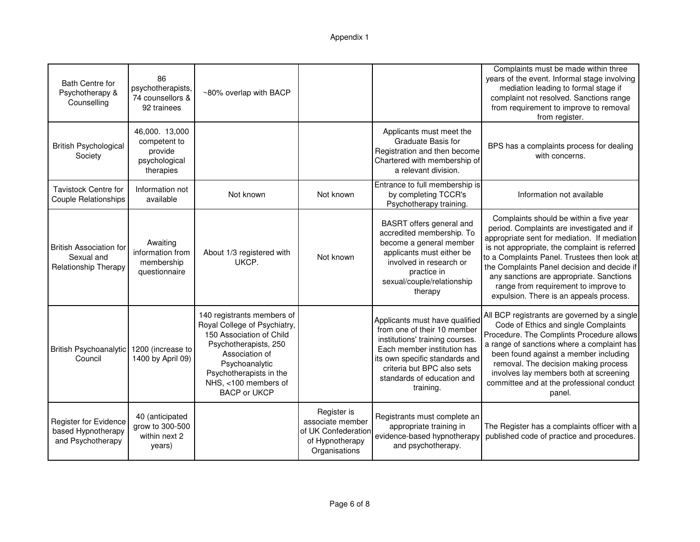| <b>Bath Centre for</b><br>Psychotherapy &<br>Counselling             | 86<br>psychotherapists,<br>74 counsellors &<br>92 trainees              | ~80% overlap with BACP                                                                                                                                                                                                        |                                                                                            |                                                                                                                                                                                                                                            | Complaints must be made within three<br>years of the event. Informal stage involving<br>mediation leading to formal stage if<br>complaint not resolved. Sanctions range<br>from requirement to improve to removal<br>from register.                                                                                                                                                                                  |
|----------------------------------------------------------------------|-------------------------------------------------------------------------|-------------------------------------------------------------------------------------------------------------------------------------------------------------------------------------------------------------------------------|--------------------------------------------------------------------------------------------|--------------------------------------------------------------------------------------------------------------------------------------------------------------------------------------------------------------------------------------------|----------------------------------------------------------------------------------------------------------------------------------------------------------------------------------------------------------------------------------------------------------------------------------------------------------------------------------------------------------------------------------------------------------------------|
| <b>British Psychological</b><br>Society                              | 46,000. 13,000<br>competent to<br>provide<br>psychological<br>therapies |                                                                                                                                                                                                                               |                                                                                            | Applicants must meet the<br>Graduate Basis for<br>Registration and then become<br>Chartered with membership of<br>a relevant division.                                                                                                     | BPS has a complaints process for dealing<br>with concerns.                                                                                                                                                                                                                                                                                                                                                           |
| <b>Tavistock Centre for</b><br><b>Couple Relationships</b>           | Information not<br>available                                            | Not known                                                                                                                                                                                                                     | Not known                                                                                  | Entrance to full membership is<br>by completing TCCR's<br>Psychotherapy training.                                                                                                                                                          | Information not available                                                                                                                                                                                                                                                                                                                                                                                            |
| <b>British Association for</b><br>Sexual and<br>Relationship Therapy | Awaiting<br>information from<br>membership<br>questionnaire             | About 1/3 registered with<br>UKCP.                                                                                                                                                                                            | Not known                                                                                  | BASRT offers general and<br>accredited membership. To<br>become a general member<br>applicants must either be<br>involved in research or<br>practice in<br>sexual/couple/relationship<br>therapy                                           | Complaints should be within a five year<br>period. Complaints are investigated and if<br>appropriate sent for mediation. If mediation<br>is not appropriate, the complaint is referred<br>to a Complaints Panel. Trustees then look at<br>the Complaints Panel decision and decide if<br>any sanctions are appropriate. Sanctions<br>range from requirement to improve to<br>expulsion. There is an appeals process. |
| <b>British Psychoanalytic</b><br>Council                             | 1200 (increase to<br>1400 by April 09)                                  | 140 registrants members of<br>Royal College of Psychiatry,<br>150 Association of Child<br>Psychotherapists, 250<br>Association of<br>Psychoanalytic<br>Psychotherapists in the<br>NHS, <100 members of<br><b>BACP or UKCP</b> |                                                                                            | Applicants must have qualified<br>from one of their 10 member<br>institutions' training courses.<br>Each member institution has<br>its own specific standards and<br>criteria but BPC also sets<br>standards of education and<br>training. | All BCP registrants are governed by a single<br>Code of Ethics and single Complaints<br>Procedure. The Complints Procedure allows<br>a range of sanctions where a complaint has<br>been found against a member including<br>removal. The decision making process<br>involves lay members both at screening<br>committee and at the professional conduct<br>panel.                                                    |
| Register for Evidence<br>based Hypnotherapy<br>and Psychotherapy     | 40 (anticipated<br>grow to 300-500<br>within next 2<br>years)           |                                                                                                                                                                                                                               | Register is<br>associate member<br>of UK Confederation<br>of Hypnotherapy<br>Organisations | Registrants must complete an<br>appropriate training in<br>evidence-based hypnotherapy<br>and psychotherapy.                                                                                                                               | The Register has a complaints officer with a<br>published code of practice and procedures.                                                                                                                                                                                                                                                                                                                           |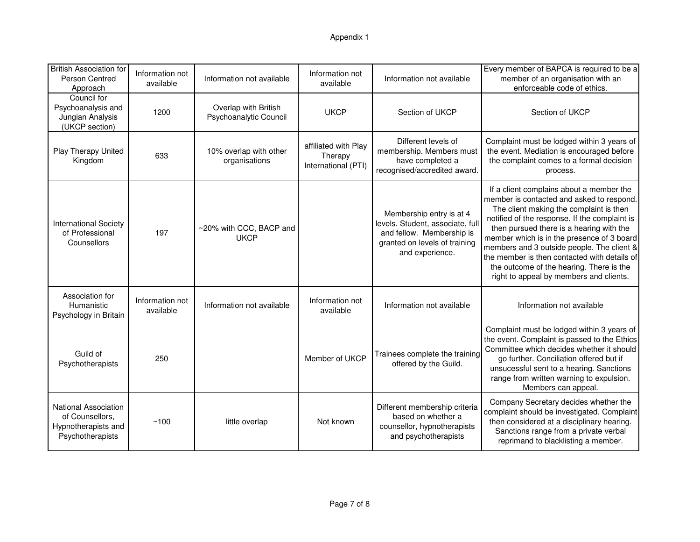#### Appendix 1

| <b>British Association for</b><br>Person Centred<br>Approach                       | Information not<br>available | Information not available                      | Information not<br>available                           | Information not available                                                                                                                     | Every member of BAPCA is required to be a<br>member of an organisation with an<br>enforceable code of ethics.                                                                                                                                                                                                                                                                                                                                                    |
|------------------------------------------------------------------------------------|------------------------------|------------------------------------------------|--------------------------------------------------------|-----------------------------------------------------------------------------------------------------------------------------------------------|------------------------------------------------------------------------------------------------------------------------------------------------------------------------------------------------------------------------------------------------------------------------------------------------------------------------------------------------------------------------------------------------------------------------------------------------------------------|
| Council for<br>Psychoanalysis and<br>Jungian Analysis<br>(UKCP section)            | 1200                         | Overlap with British<br>Psychoanalytic Council | <b>UKCP</b>                                            | Section of UKCP                                                                                                                               | Section of UKCP                                                                                                                                                                                                                                                                                                                                                                                                                                                  |
| Play Therapy United<br>Kingdom                                                     | 633                          | 10% overlap with other<br>organisations        | affiliated with Play<br>Therapy<br>International (PTI) | Different levels of<br>membership. Members must<br>have completed a<br>recognised/accredited award.                                           | Complaint must be lodged within 3 years of<br>the event. Mediation is encouraged before<br>the complaint comes to a formal decision<br>process.                                                                                                                                                                                                                                                                                                                  |
| <b>International Society</b><br>of Professional<br>Counsellors                     | 197                          | ~20% with CCC, BACP and<br><b>UKCP</b>         |                                                        | Membership entry is at 4<br>levels. Student, associate, full<br>and fellow. Membership is<br>granted on levels of training<br>and experience. | If a client complains about a member the<br>member is contacted and asked to respond.<br>The client making the complaint is then<br>notified of the response. If the complaint is<br>then pursued there is a hearing with the<br>member which is in the presence of 3 board<br>members and 3 outside people. The client &<br>the member is then contacted with details of<br>the outcome of the hearing. There is the<br>right to appeal by members and clients. |
| Association for<br>Humanistic<br>Psychology in Britain                             | Information not<br>available | Information not available                      | Information not<br>available                           | Information not available                                                                                                                     | Information not available                                                                                                                                                                                                                                                                                                                                                                                                                                        |
| Guild of<br>Psychotherapists                                                       | 250                          |                                                | Member of UKCP                                         | Trainees complete the training<br>offered by the Guild.                                                                                       | Complaint must be lodged within 3 years of<br>the event. Complaint is passed to the Ethics<br>Committee which decides whether it should<br>go further. Conciliation offered but if<br>unsucessful sent to a hearing. Sanctions<br>range from written warning to expulsion.<br>Members can appeal.                                                                                                                                                                |
| National Association<br>of Counsellors.<br>Hypnotherapists and<br>Psychotherapists | ~100                         | little overlap                                 | Not known                                              | Different membership criteria<br>based on whether a<br>counsellor, hypnotherapists<br>and psychotherapists                                    | Company Secretary decides whether the<br>complaint should be investigated. Complaint<br>then considered at a disciplinary hearing.<br>Sanctions range from a private verbal<br>reprimand to blacklisting a member.                                                                                                                                                                                                                                               |